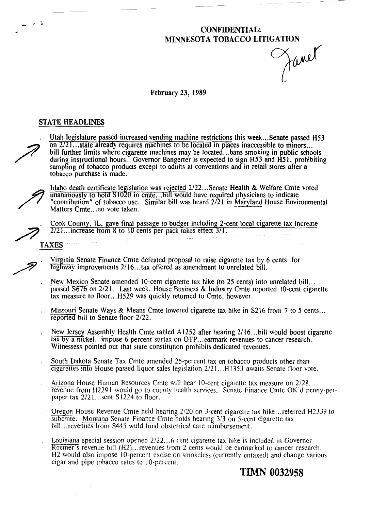# **CONFIDENTIAL:**

**MINNESOTA TOBACCO LITIGATION** 

#### **February** 23, 1989

#### **STATE HEADLINES**

Utah legislature passed increased vending machine restrictions this week...Senate passed H53<br>on  $2/21$ ...state already requires machines to be located in places inaccessible to minors...<br>bill further limits where cigarett during instructional hours. Governor Bangerter is expected to sign H53 and H51, prohibiting sampling of tobacco products except to adults at conventions and in retail stores after a tobacco purchase is made.



÷.

Idaho death certificate legislation was rejected 2/22... Senate Health & Welfare Cmte voted unanimously to hold S1020 in cmte...bill would have required physicians to indicate "contribution" of tobacco use. Similar bill was heard 2/21 in Maryland House Environmental Matters Cmte. ..no vote taken.

. Cook County, IL, gave final passage to budget including 2-cent local cigarette tax increase **2121...** increase trom 8 to 10 cents per pack takes effect 3/1.

- ~ -

- Virginia Senate Finance Cmte defeated proposal to raise cigarette tax by 6 cents for<br> **Fighway improvements 2/16... tax offered as amendment to unrelated bill.**<br>
New Mexico Senate amended 10-cent cigarette tax hike (to 25
- passed S676 on 2/21. Last week. House Business & Industry Cmte reported 10-cent cigarette tax measure to floor. ..H529 was quickly returned to Cmte, however.
- Missouri Senate Ways & Means Cmte lowered cigarette tax hike in  $S216$  from 7 to 5 cents... reported bill to Senate floor 2/22.
- New Jersey Assembly Health Cmte tabled A1252 after hearing 2/16...bill would boost cigarette tax by a nickel... impose 6 percent surtax on OTP... earmark revenues to cancer research. Witnessess pointed out that state constitution prohibits dedicated revenues.
- South Dakota Senate **Tax** Cmte amended 25-percent **tax** on tobacco products other than cigarettes into House-passed liquor sales legislation 2/21 ... **HI353** awaits Senate floor vote.
- . Arizona House Human Resources Cmte will hear 10-cent cigarette **tax** measure on 2/28.. . revenue from H2291 would go to county health services. Senate Finance Cmte OK'd penny-perpaper **tax** 212 1.. .sent S **1** 224 to floor.
- Oregon House Revenue Cmte held hearing 2/20 on 3-cent cigarette tax hike... referred H2339 to  $subc$  Montana Senate Finance Cmte holds hearing  $3/3$  on 5-cent cigarette tax bill... revenues from S445 wuld fund obstetrical care reimbursement.
- Louisiana special session opened 2/22...6-cent cigarette tax hike is included in Governor Roemer's revenue bill (H2) ... revenues from 2 cents would be earmarked to cancer research. H<sub>2</sub> would also impose 10-percent excise on smokeless (currently untaxed) and change various cigar and pipe tobacco rates to 10-percent.

**TIMN 0032958**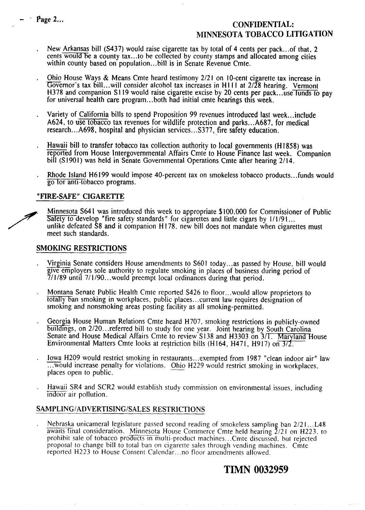## - - **Page Z... CONFIDENTIAL: MINNESOTA TOBACCO LITIGATION**

- . New Arkansas bill (S437) would raise cigarette tax by total of 4 cents per pack ... of that. **2**  cents would be a county tax... to he collected by county stamps and allocated among cities within county based on population...bill is in Senate Revenue Cmte.
- Ohio House Ways & Means Cmte heard testimony 2/21 on 10-cent cigarette tax increase in Governor's tax bill... will consider alcohol tax increases in H111 at  $2/28$  hearing. Vermont H378 and companion S119 would raise cigarette excise by 20 cents per pack...use funds to pay for universal health care program...both had initial cmte hearings this week.
- . Variety of California bills to spend Proposition 99 revenues introduced last week ... include A624, to use tobacco tax revenues for wildlife protection and parks...A687, for medical research.. .A698, hospital and physician services.. **.S377,** fire safety education.
- . Hawaii bill to transfer tobacco **tax** collection authority to local governments (H 1858) was reported from House Intergovernmental Affairs Cmte to House Finance last week. Companion bill (S1901) was held in Senate Governmental Operations Cmte after hearing 2/14.
- . Rhode Island H6 199 would impose 40-percent tax on smokeless tobacco products.. .funds would go tor anti-tobacco programs.

#### **"FIRE-SAFE" CIGARElTE**

Minnesota S641 was introduced this week to appropriate \$100,000 for Commissioner of Public Safety to develop "fire safety standards" for cigarettes and little cigars by 1/1/91... unlike defeated S8 and it companion H178. new bill does not mandate when cigarettes must meet such standards.

#### **SMOKING RESTRICTIONS**

- . Virginia Senate considers House amendments to **S60** 1 today.. .as passed by House. bill would glve employers sole authority to regulate smoking in places of business during period of 71 1/89 until 71 1/90.. .would preempt local ordinances during that period.
- . Montana Senate Public Health Cmte reported **S426** to floor ... would allow proprietors to totally ban smoking in workplaces, public places... current law requires designation of smoking and nonsmoking areas posting facility as all smoking-permitted.
- Georgia House Human Relations Cmte heard H707, smoking restrictions in publicly-owned buildings, on 2/20... referred bill to study for one year. Joint hearing by South Carolina Senate and House Medical Affairs Cmte to review S138 and H3303 on 3/T. Environmental Matters Cmte looks at restriction bills (H164, H471, H917) on  $\frac{3}{2}$ .
- . Iowa H209 would restrict smoking in restaurants.. .exempted from 1987 "clean indoor air" law  $\overline{\ldots}$  would increase penalty for violations. Ohio H229 would restrict smoking in workplaces, places open to public. buildings, on 2/20... referred bill to study for one yes<br>Senate and House Medical Affairs Cmte to review S<br>Environmental Matters Cmte looks at restriction bills<br>lowa H209 would restrict smoking in restaurants...e:<br>...would
- Hawaii SR4 and SCR2 would establish study commission on environmental issues, including indoor air pollution.

#### **SAMPLINGIADVERTISINGISALES RESTRICTIONS**

Nebraska unicameral legislature passed second reading of smokeless sampling ban 2/21...L48 awaits final consideration. Minnesota House Commerce Cmte held hearing  $\frac{\gamma}{2}$  1 on H223. to prohibit sale of tobacco products In multi-product machines.. .Cmte discussed. but rejected proposal to change bill to total ban on cigarette sales through vending machines. Cmte reported H223 to House Consent Calendar.. .no floor amendments allowed.

### **TIMN 0032959**